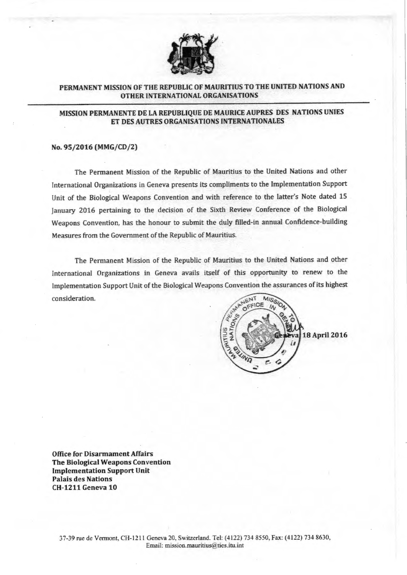

# **PERMANENT MISSION OF THE REPUBLIC OF MAURITlUS TO THE UNITED NAT10NS AND OTHER INTERNATIONAL ORGANISATIONS**

## **MISSION PERMANENTE DE LA REPUBLIQUE DE MAURICE AUPRES DES NATIONS UNlES ET DES AUTRES ORGANISATIONS INTERNATIONALES**

### **No. 95/2016 (MMG/CD/2)**

The Permanent Mission of the Republic of Mauritius to the United Nations and other International Organizations in Geneva presents its compliments to the Implementation Support Unit of the Biological Weapons Convention and with reference to the latter's Note dated 15 January 2016 pertaining to the decision of the Sixth Review Conference of the Biological Weapons Convention, has the honour to submit the duly filled-in annual Confidence-building Measures from the Government of the Republic of Mauritius.

The Permanent Mission of the Republic of Mauritius to the United Nations and other International Organizations in Geneva avails itself of this opportunity to renew to the Implementation Support Unit of the Biological Weapons Convention the assurances of its highest consideration.



**Office for Disarmament Affairs The Biological Weapons Convention Implementation Support Unit Palais des Nations CH-1211 Geneva 10**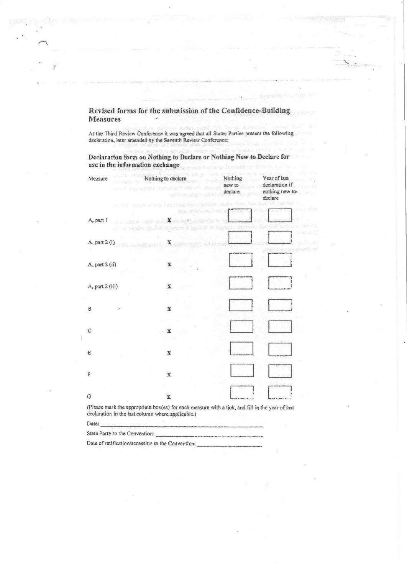Revised forms for the submission of the Confidence-Building Measures  $\overline{\phantom{a}}$ 

At the Third Review Conference it was agreed that all States Parties present the following declaration, later amended by the Seventh Review Conference:

Declaration form on Nothing to Declare or Nothing New to Declare for use in the information exchange

 $\mathcal{A}$ 

| Measure                             | Nothing to declare<br><b>Chiles Contact restura</b><br>system and a what<br>to talk those with an intervention | Nothing<br>new to<br>(0.72)<br>declare | Year of last<br>declaration if<br>nothing new to<br>declare |
|-------------------------------------|----------------------------------------------------------------------------------------------------------------|----------------------------------------|-------------------------------------------------------------|
| A, part 1                           | J - Get a pop viet and she                                                                                     |                                        |                                                             |
| A, part 2 (i)<br>FOI Liverando como | on al basiles clashed shares what                                                                              | 2025000                                |                                                             |
| A, part 2 (ii)                      | X                                                                                                              |                                        |                                                             |
| A, part 2 (iii)                     | $\mathbf x$                                                                                                    |                                        |                                                             |
| B                                   | x                                                                                                              |                                        |                                                             |
| C                                   | $\mathbf x$                                                                                                    |                                        |                                                             |
| E                                   | X                                                                                                              |                                        |                                                             |
| F                                   | $\mathbf X$                                                                                                    |                                        |                                                             |
| G                                   | $\mathbf X$                                                                                                    |                                        |                                                             |

Date:

State Party to the Convention:

Date of ratification/accession to the Convention;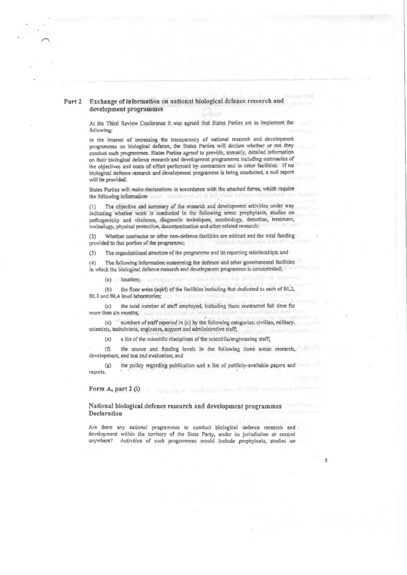#### Exchange of information on national biological defence research and Part<sub>2</sub> development programmes

At the Third Review Conference it was agreed that States Parties are to implement the following:

In the interest of increasing the transparency of national research and development programmes on biological defence, the States Parties will declare whether or not they conduct such programmes. States Parties agreed to provide, annually, detailed information on their biological defence research and development programmes including summaries of the objectives and costs of effort performed by contractors and in other facilities. If no biological defence research and development programme is being conducted, a null report will be provided.

States Parties will make declarations in accordance with the attached forms, which require the following information:

The objective and summary of the research and development activities under way  $(1)$ indicating whether work is conducted in the following areas: prophylaxis, studies on pathogenicity and virulence, diagnostic techniques, aerobiology, detection, treatment, toxinology, physical protection, decontamination and other related research;

Whether contractor or other non-defence facilities are utilized and the total funding  $(2)$ provided to that portion of the programme;

 $(3)$ The organizational structure of the programme and its reporting relationships; and

The following information concerning the defence and other governmental facilities  $(4)$ in which the biological defence research and development programme is concentrated;

(a) location;

the floor areas (sqM) of the facilities including that dedicated to each of BL2.  $(b)$ BL3 and BL4 level laboratories;

the total number of staff employed, including those contracted full time for  $(c)$ more than six months;

numbers of staff reported in (c) by the following categories: civilian, military,  $(d)$ scientists, technicians, engineers, support and administrative staff;

a list of the scientific disciplines of the scientific/engineering staff;  $(e)$ 

 $(n)$ the source and funding levels in the following three areas: research, development, and test and evaluation; and

the policy regarding publication and a list of publicly-available papers and  $(g)$ reports.

Form A, part 2 (i)

National biological defence research and development programmes Declaration

Are there any national programmes to conduct biological defence research and . development within the territory of the State Party, under its jurisdiction or control anywhere? Activities of such programmes would include prophylaxis, studies on

 $\tilde{\mathcal{S}}$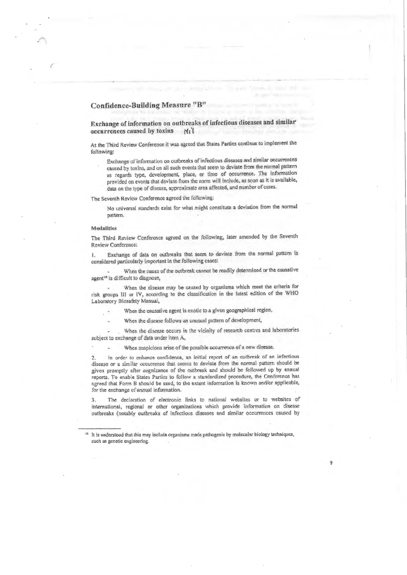# Confidence-Building Measure "B"

Exchange of information on outbreaks of infectious diseases and similar occurrences caused by toxins  $\mathcal{H}$ ;'t

At the Third Review Conference it was agreed that States Parties continue to implement the fotlowing:

Exchange of infonnalion oo outbreaks of infectious diseases and similar occurrences caused by toxins, and on all such events that seem to deviate from the normal pattern as regards type, development, place, or time of occurrence. The information provided on events that deviate from the norm will include, as soon as it is available, data on the type of disease, approximate area affected, and number of cases.

The Seventh Review Conference agreed the following:

No universal standards exist for what might constitute a deviation from the normal pattern.

#### Modatltles

The Third Review Conference agreed on the following, later amended by the Seventh Review Conference:

1. Exchange of data on outbreaks that seem to deviate from the normal pattern is considered particularly important in the following cases:

When the cause of the outbreak cannot be readily determined or the causative agent<sup>10</sup> is difficult to diagnose,

When the disease may be caused by organisms which meet the criteria for risk groups III or IV, according to the classification in the latest edition of the WHO Laboratory Biosafety Manual,

When the causative agent is exotic to a given geographical region,

When the disease follows an unusual pattern of development,

When the disease occurs in the vicinity of research centres and laboratories subject to exchange of data under item **A,** 

When suspicions arise of the possible occurrence of a new disease.

2. In order to enhance confidence, an initial report of an outbreak of an infectious disease or a similar occurrence that seems to deviate from the normal pattern should **be**  given prompLly after cognizance of the outbreak and should **be** followed up by annual reports. To enable States Parties to follow a standardized procedure, the Conference has agreed that Form B should be used, to the extent information is known and/or applicable, for the exchange of annual information.

3. The declaration of electronic links to national websites or to websites of international, regional or other organizations which provide information on disease outbreaks (notably outbreaks of infectious diseases and similar occurrences caused by

9

<sup>&</sup>lt;sup>10</sup> It is understood that this may include organisms made pathogenic by molecular biology techniques, such as genetic engineering.